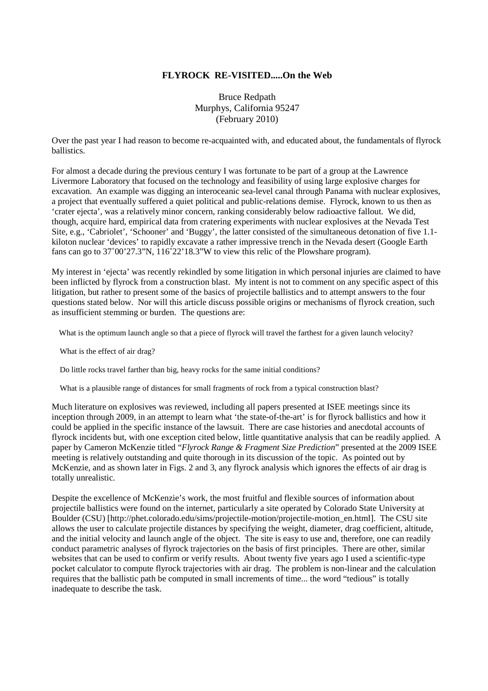## **FLYROCK RE-VISITED.....On the Web**

Bruce Redpath Murphys, California 95247 (February 2010)

Over the past year I had reason to become re-acquainted with, and educated about, the fundamentals of flyrock ballistics.

For almost a decade during the previous century I was fortunate to be part of a group at the Lawrence Livermore Laboratory that focused on the technology and feasibility of using large explosive charges for excavation. An example was digging an interoceanic sea-level canal through Panama with nuclear explosives, a project that eventually suffered a quiet political and public-relations demise. Flyrock, known to us then as 'crater ejecta', was a relatively minor concern, ranking considerably below radioactive fallout. We did, though, acquire hard, empirical data from cratering experiments with nuclear explosives at the Nevada Test Site, e.g., 'Cabriolet', 'Schooner' and 'Buggy', the latter consisted of the simultaneous detonation of five 1.1 kiloton nuclear 'devices' to rapidly excavate a rather impressive trench in the Nevada desert (Google Earth fans can go to 37˚00'27.3"N, 116˚22'18.3"W to view this relic of the Plowshare program).

My interest in 'ejecta' was recently rekindled by some litigation in which personal injuries are claimed to have been inflicted by flyrock from a construction blast. My intent is not to comment on any specific aspect of this litigation, but rather to present some of the basics of projectile ballistics and to attempt answers to the four questions stated below. Nor will this article discuss possible origins or mechanisms of flyrock creation, such as insufficient stemming or burden. The questions are:

What is the optimum launch angle so that a piece of flyrock will travel the farthest for a given launch velocity?

What is the effect of air drag?

Do little rocks travel farther than big, heavy rocks for the same initial conditions?

What is a plausible range of distances for small fragments of rock from a typical construction blast?

Much literature on explosives was reviewed, including all papers presented at ISEE meetings since its inception through 2009, in an attempt to learn what 'the state-of-the-art' is for flyrock ballistics and how it could be applied in the specific instance of the lawsuit. There are case histories and anecdotal accounts of flyrock incidents but, with one exception cited below, little quantitative analysis that can be readily applied. A paper by Cameron McKenzie titled "*Flyrock Range & Fragment Size Prediction*" presented at the 2009 ISEE meeting is relatively outstanding and quite thorough in its discussion of the topic. As pointed out by McKenzie, and as shown later in Figs. 2 and 3, any flyrock analysis which ignores the effects of air drag is totally unrealistic.

Despite the excellence of McKenzie's work, the most fruitful and flexible sources of information about projectile ballistics were found on the internet, particularly a site operated by Colorado State University at Boulder (CSU) [http://phet.colorado.edu/sims/projectile-motion/projectile-motion\_en.html]. The CSU site allows the user to calculate projectile distances by specifying the weight, diameter, drag coefficient, altitude, and the initial velocity and launch angle of the object. The site is easy to use and, therefore, one can readily conduct parametric analyses of flyrock trajectories on the basis of first principles. There are other, similar websites that can be used to confirm or verify results. About twenty five years ago I used a scientific-type pocket calculator to compute flyrock trajectories with air drag. The problem is non-linear and the calculation requires that the ballistic path be computed in small increments of time... the word "tedious" is totally inadequate to describe the task.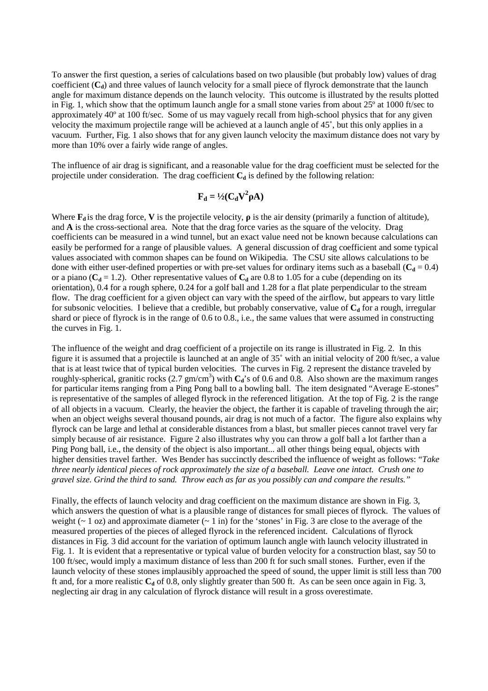To answer the first question, a series of calculations based on two plausible (but probably low) values of drag coefficient (C<sub>d</sub>) and three values of launch velocity for a small piece of flyrock demonstrate that the launch angle for maximum distance depends on the launch velocity. This outcome is illustrated by the results plotted in Fig. 1, which show that the optimum launch angle for a small stone varies from about  $25^{\circ}$  at 1000 ft/sec to approximately 40º at 100 ft/sec. Some of us may vaguely recall from high-school physics that for any given velocity the maximum projectile range will be achieved at a launch angle of 45˚, but this only applies in a vacuum. Further, Fig. 1 also shows that for any given launch velocity the maximum distance does not vary by more than 10% over a fairly wide range of angles.

The influence of air drag is significant, and a reasonable value for the drag coefficient must be selected for the projectile under consideration. The drag coefficient **C<sup>d</sup>** is defined by the following relation:

## $\mathbf{F}_{\mathbf{d}} = \frac{1}{2}(\mathbf{C}_{\mathbf{d}}\mathbf{V}^2\mathbf{\rho}\mathbf{A})$

Where  $\mathbf{F}_d$  is the drag force, **V** is the projectile velocity,  $\rho$  is the air density (primarily a function of altitude), and **A** is the cross-sectional area. Note that the drag force varies as the square of the velocity. Drag coefficients can be measured in a wind tunnel, but an exact value need not be known because calculations can easily be performed for a range of plausible values. A general discussion of drag coefficient and some typical values associated with common shapes can be found on Wikipedia. The CSU site allows calculations to be done with either user-defined properties or with pre-set values for ordinary items such as a baseball  $(C_d = 0.4)$ or a piano ( $C_d$  = 1.2). Other representative values of  $C_d$  are 0.8 to 1.05 for a cube (depending on its orientation), 0.4 for a rough sphere, 0.24 for a golf ball and 1.28 for a flat plate perpendicular to the stream flow. The drag coefficient for a given object can vary with the speed of the airflow, but appears to vary little for subsonic velocities. I believe that a credible, but probably conservative, value of **Cd** for a rough, irregular shard or piece of flyrock is in the range of 0.6 to 0.8., i.e., the same values that were assumed in constructing the curves in Fig. 1.

The influence of the weight and drag coefficient of a projectile on its range is illustrated in Fig. 2. In this figure it is assumed that a projectile is launched at an angle of 35˚ with an initial velocity of 200 ft/sec, a value that is at least twice that of typical burden velocities. The curves in Fig. 2 represent the distance traveled by roughly-spherical, granitic rocks (2.7 gm/cm<sup>3</sup>) with  $C_d$ 's of 0.6 and 0.8. Also shown are the maximum ranges for particular items ranging from a Ping Pong ball to a bowling ball. The item designated "Average E-stones" is representative of the samples of alleged flyrock in the referenced litigation. At the top of Fig. 2 is the range of all objects in a vacuum. Clearly, the heavier the object, the farther it is capable of traveling through the air; when an object weighs several thousand pounds, air drag is not much of a factor. The figure also explains why flyrock can be large and lethal at considerable distances from a blast, but smaller pieces cannot travel very far simply because of air resistance. Figure 2 also illustrates why you can throw a golf ball a lot farther than a Ping Pong ball, i.e., the density of the object is also important... all other things being equal, objects with higher densities travel farther. Wes Bender has succinctly described the influence of weight as follows: "*Take three nearly identical pieces of rock approximately the size of a baseball. Leave one intact. Crush one to gravel size. Grind the third to sand. Throw each as far as you possibly can and compare the results."*

Finally, the effects of launch velocity and drag coefficient on the maximum distance are shown in Fig. 3, which answers the question of what is a plausible range of distances for small pieces of flyrock. The values of weight ( $\sim$  1 oz) and approximate diameter ( $\sim$  1 in) for the 'stones' in Fig. 3 are close to the average of the measured properties of the pieces of alleged flyrock in the referenced incident. Calculations of flyrock distances in Fig. 3 did account for the variation of optimum launch angle with launch velocity illustrated in Fig. 1. It is evident that a representative or typical value of burden velocity for a construction blast, say 50 to 100 ft/sec, would imply a maximum distance of less than 200 ft for such small stones. Further, even if the launch velocity of these stones implausibly approached the speed of sound, the upper limit is still less than 700 ft and, for a more realistic  $C_d$  of 0.8, only slightly greater than 500 ft. As can be seen once again in Fig. 3, neglecting air drag in any calculation of flyrock distance will result in a gross overestimate.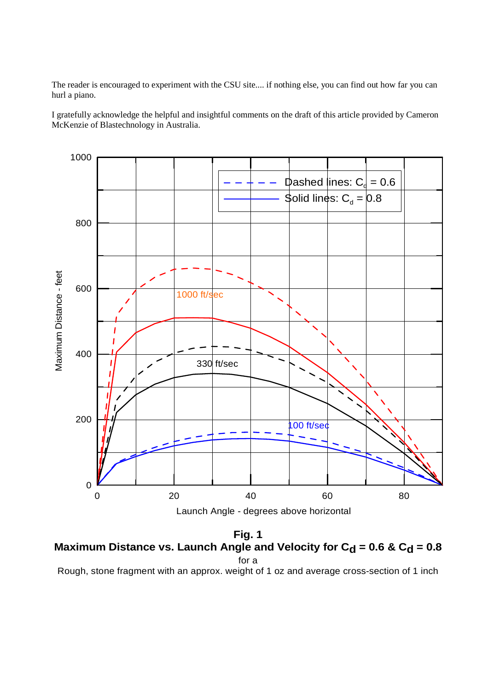The reader is encouraged to experiment with the CSU site.... if nothing else, you can find out how far you can hurl a piano.

I gratefully acknowledge the helpful and insightful comments on the draft of this article provided by Cameron McKenzie of Blastechnology in Australia.



**Fig. 1 Maximum Distance vs. Launch Angle and Velocity for**  $C_d = 0.6$  **&**  $C_d = 0.8$ for a

Rough, stone fragment with an approx. weight of 1 oz and average cross-section of 1 inch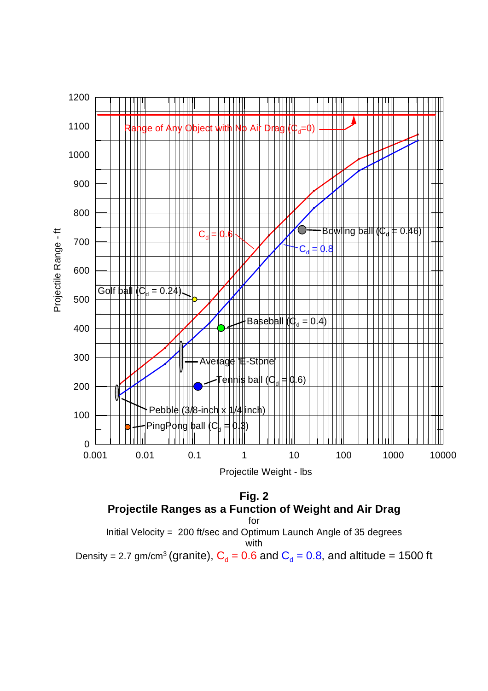